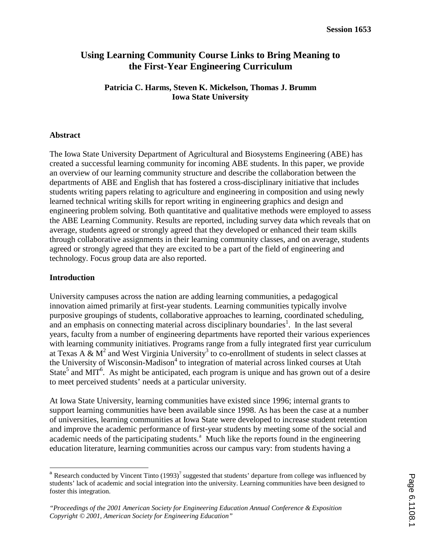# **Using Learning Community Course Links to Bring Meaning to the First-Year Engineering Curriculum**

## **Patricia C. Harms, Steven K. Mickelson, Thomas J. Brumm Iowa State University**

### **Abstract**

The Iowa State University Department of Agricultural and Biosystems Engineering (ABE) has created a successful learning community for incoming ABE students. In this paper, we provide an overview of our learning community structure and describe the collaboration between the departments of ABE and English that has fostered a cross-disciplinary initiative that includes students writing papers relating to agriculture and engineering in composition and using newly learned technical writing skills for report writing in engineering graphics and design and engineering problem solving. Both quantitative and qualitative methods were employed to assess the ABE Learning Community. Results are reported, including survey data which reveals that on average, students agreed or strongly agreed that they developed or enhanced their team skills through collaborative assignments in their learning community classes, and on average, students agreed or strongly agreed that they are excited to be a part of the field of engineering and technology. Focus group data are also reported.

#### **Introduction**

University campuses across the nation are adding learning communities, a pedagogical innovation aimed primarily at first-year students. Learning communities typically involve purposive groupings of students, collaborative approaches to learning, coordinated scheduling, and an emphasis on connecting material across disciplinary boundaries<sup>1</sup>. In the last several years, faculty from a number of engineering departments have reported their various experiences with learning community initiatives. Programs range from a fully integrated first year curriculum at Texas A &  $M^2$  and West Virginia University<sup>3</sup> to co-enrollment of students in select classes at the University of Wisconsin-Madison<sup>4</sup> to integration of material across linked courses at Utah State<sup>5</sup> and MIT<sup>6</sup>. As might be anticipated, each program is unique and has grown out of a desire to meet perceived students' needs at a particular university.

At Iowa State University, learning communities have existed since 1996; internal grants to support learning communities have been available since 1998. As has been the case at a number of universities, learning communities at Iowa State were developed to increase student retention and improve the academic performance of first-year students by meeting some of the social and academic needs of the participating students.<sup>a</sup> Much like the reports found in the engineering education literature, learning communities across our campus vary: from students having a

 $\overline{a}$ <sup>a</sup> Research conducted by Vincent Tinto  $(1993)^7$  suggested that students' departure from college was influenced by students' lack of academic and social integration into the university. Learning communities have been designed to foster this integration.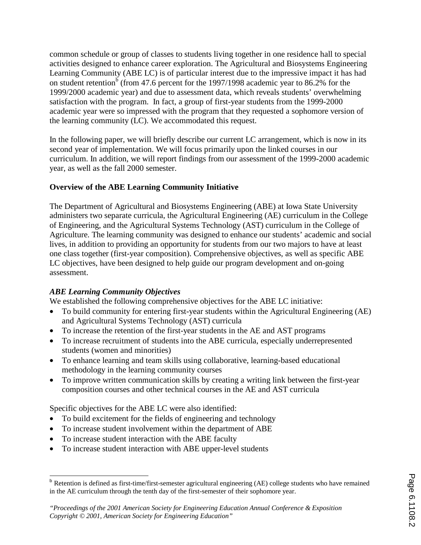common schedule or group of classes to students living together in one residence hall to special activities designed to enhance career exploration. The Agricultural and Biosystems Engineering Learning Community (ABE LC) is of particular interest due to the impressive impact it has had on student retention<sup>b</sup> (from 47.6 percent for the 1997/1998 academic year to 86.2% for the 1999/2000 academic year) and due to assessment data, which reveals students' overwhelming satisfaction with the program. In fact, a group of first-year students from the 1999-2000 academic year were so impressed with the program that they requested a sophomore version of the learning community (LC). We accommodated this request.

In the following paper, we will briefly describe our current LC arrangement, which is now in its second year of implementation. We will focus primarily upon the linked courses in our curriculum. In addition, we will report findings from our assessment of the 1999-2000 academic year, as well as the fall 2000 semester.

## **Overview of the ABE Learning Community Initiative**

The Department of Agricultural and Biosystems Engineering (ABE) at Iowa State University administers two separate curricula, the Agricultural Engineering (AE) curriculum in the College of Engineering, and the Agricultural Systems Technology (AST) curriculum in the College of Agriculture. The learning community was designed to enhance our students' academic and social lives, in addition to providing an opportunity for students from our two majors to have at least one class together (first-year composition). Comprehensive objectives, as well as specific ABE LC objectives, have been designed to help guide our program development and on-going assessment.

## *ABE Learning Community Objectives*

We established the following comprehensive objectives for the ABE LC initiative:

- To build community for entering first-year students within the Agricultural Engineering (AE) and Agricultural Systems Technology (AST) curricula
- To increase the retention of the first-year students in the AE and AST programs
- To increase recruitment of students into the ABE curricula, especially underrepresented students (women and minorities)
- To enhance learning and team skills using collaborative, learning-based educational methodology in the learning community courses
- To improve written communication skills by creating a writing link between the first-year composition courses and other technical courses in the AE and AST curricula

Specific objectives for the ABE LC were also identified:

- To build excitement for the fields of engineering and technology
- To increase student involvement within the department of ABE
- To increase student interaction with the ABE faculty
- To increase student interaction with ABE upper-level students

 $\overline{a}$ <sup>b</sup> Retention is defined as first-time/first-semester agricultural engineering (AE) college students who have remained in the AE curriculum through the tenth day of the first-semester of their sophomore year.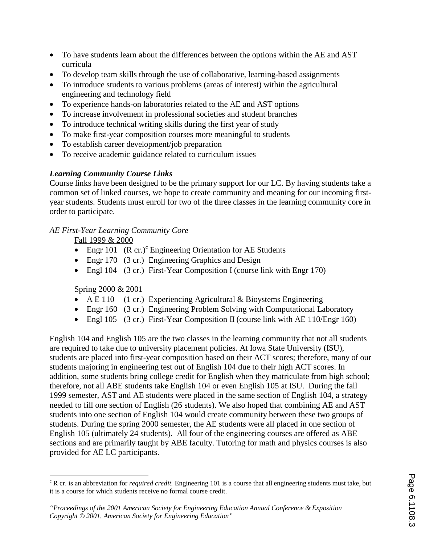- To have students learn about the differences between the options within the AE and AST curricula
- To develop team skills through the use of collaborative, learning-based assignments
- To introduce students to various problems (areas of interest) within the agricultural engineering and technology field
- To experience hands-on laboratories related to the AE and AST options
- To increase involvement in professional societies and student branches
- To introduce technical writing skills during the first year of study
- To make first-year composition courses more meaningful to students
- To establish career development/job preparation
- To receive academic guidance related to curriculum issues

# *Learning Community Course Links*

Course links have been designed to be the primary support for our LC. By having students take a common set of linked courses, we hope to create community and meaning for our incoming firstyear students. Students must enroll for two of the three classes in the learning community core in order to participate.

# *AE First-Year Learning Community Core*

Fall 1999 & 2000

- Engr 101  $(R \text{ cr.})^c$  Engineering Orientation for AE Students
- Engr 170 (3 cr.) Engineering Graphics and Design
- Engl 104 (3 cr.) First-Year Composition I (course link with Engr 170)

# Spring 2000 & 2001

- A E 110 (1 cr.) Experiencing Agricultural  $\&$  Bioystems Engineering
- Engr 160 (3 cr.) Engineering Problem Solving with Computational Laboratory
- Engl 105 (3 cr.) First-Year Composition II (course link with AE 110/Engr 160)

English 104 and English 105 are the two classes in the learning community that not all students are required to take due to university placement policies. At Iowa State University (ISU), students are placed into first-year composition based on their ACT scores; therefore, many of our students majoring in engineering test out of English 104 due to their high ACT scores. In addition, some students bring college credit for English when they matriculate from high school; therefore, not all ABE students take English 104 or even English 105 at ISU. During the fall 1999 semester, AST and AE students were placed in the same section of English 104, a strategy needed to fill one section of English (26 students). We also hoped that combining AE and AST students into one section of English 104 would create community between these two groups of students. During the spring 2000 semester, the AE students were all placed in one section of English 105 (ultimately 24 students). All four of the engineering courses are offered as ABE sections and are primarily taught by ABE faculty. Tutoring for math and physics courses is also provided for AE LC participants.

 $\overline{a}$ <sup>c</sup> R cr. is an abbreviation for *required credit*. Engineering 101 is a course that all engineering students must take, but it is a course for which students receive no formal course credit.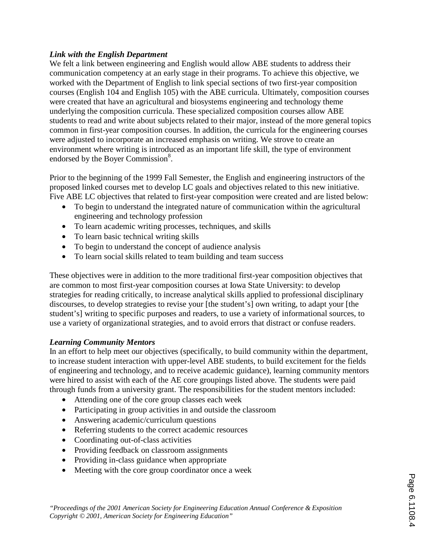## *Link with the English Department*

We felt a link between engineering and English would allow ABE students to address their communication competency at an early stage in their programs. To achieve this objective, we worked with the Department of English to link special sections of two first-year composition courses (English 104 and English 105) with the ABE curricula. Ultimately, composition courses were created that have an agricultural and biosystems engineering and technology theme underlying the composition curricula. These specialized composition courses allow ABE students to read and write about subjects related to their major, instead of the more general topics common in first-year composition courses. In addition, the curricula for the engineering courses were adjusted to incorporate an increased emphasis on writing. We strove to create an environment where writing is introduced as an important life skill, the type of environment endorsed by the Boyer Commission<sup>8</sup>.

Prior to the beginning of the 1999 Fall Semester, the English and engineering instructors of the proposed linked courses met to develop LC goals and objectives related to this new initiative. Five ABE LC objectives that related to first-year composition were created and are listed below:

- To begin to understand the integrated nature of communication within the agricultural engineering and technology profession
- To learn academic writing processes, techniques, and skills
- To learn basic technical writing skills
- To begin to understand the concept of audience analysis
- To learn social skills related to team building and team success

These objectives were in addition to the more traditional first-year composition objectives that are common to most first-year composition courses at Iowa State University: to develop strategies for reading critically, to increase analytical skills applied to professional disciplinary discourses, to develop strategies to revise your [the student's] own writing, to adapt your [the student's] writing to specific purposes and readers, to use a variety of informational sources, to use a variety of organizational strategies, and to avoid errors that distract or confuse readers.

## *Learning Community Mentors*

In an effort to help meet our objectives (specifically, to build community within the department, to increase student interaction with upper-level ABE students, to build excitement for the fields of engineering and technology, and to receive academic guidance), learning community mentors were hired to assist with each of the AE core groupings listed above. The students were paid through funds from a university grant. The responsibilities for the student mentors included:

- Attending one of the core group classes each week
- Participating in group activities in and outside the classroom
- Answering academic/curriculum questions
- Referring students to the correct academic resources
- Coordinating out-of-class activities
- Providing feedback on classroom assignments
- Providing in-class guidance when appropriate
- Meeting with the core group coordinator once a week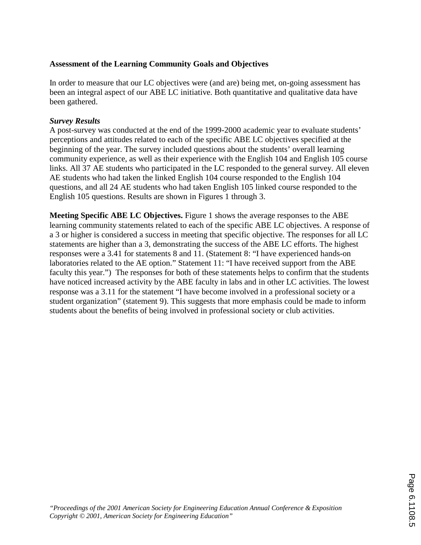## **Assessment of the Learning Community Goals and Objectives**

In order to measure that our LC objectives were (and are) being met, on-going assessment has been an integral aspect of our ABE LC initiative. Both quantitative and qualitative data have been gathered.

### *Survey Results*

A post-survey was conducted at the end of the 1999-2000 academic year to evaluate students' perceptions and attitudes related to each of the specific ABE LC objectives specified at the beginning of the year. The survey included questions about the students' overall learning community experience, as well as their experience with the English 104 and English 105 course links. All 37 AE students who participated in the LC responded to the general survey. All eleven AE students who had taken the linked English 104 course responded to the English 104 questions, and all 24 AE students who had taken English 105 linked course responded to the English 105 questions. Results are shown in Figures 1 through 3.

**Meeting Specific ABE LC Objectives.** Figure 1 shows the average responses to the ABE learning community statements related to each of the specific ABE LC objectives. A response of a 3 or higher is considered a success in meeting that specific objective. The responses for all LC statements are higher than a 3, demonstrating the success of the ABE LC efforts. The highest responses were a 3.41 for statements 8 and 11. (Statement 8: "I have experienced hands-on laboratories related to the AE option." Statement 11: "I have received support from the ABE faculty this year.") The responses for both of these statements helps to confirm that the students have noticed increased activity by the ABE faculty in labs and in other LC activities. The lowest response was a 3.11 for the statement "I have become involved in a professional society or a student organization" (statement 9). This suggests that more emphasis could be made to inform students about the benefits of being involved in professional society or club activities.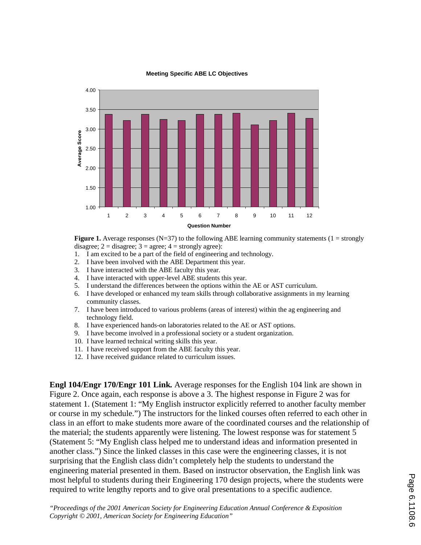

**Meeting Specific ABE LC Objectives**

**Figure 1.** Average responses ( $N=37$ ) to the following ABE learning community statements ( $1 =$  strongly disagree;  $2 =$  disagree;  $3 =$  agree;  $4 =$  strongly agree):

- 1. I am excited to be a part of the field of engineering and technology.
- 2. I have been involved with the ABE Department this year.
- 3. I have interacted with the ABE faculty this year.
- 4. I have interacted with upper-level ABE students this year.
- 5. I understand the differences between the options within the AE or AST curriculum.
- 6. I have developed or enhanced my team skills through collaborative assignments in my learning community classes.
- 7. I have been introduced to various problems (areas of interest) within the ag engineering and technology field.
- 8. I have experienced hands-on laboratories related to the AE or AST options.
- 9. I have become involved in a professional society or a student organization.
- 10. I have learned technical writing skills this year.
- 11. I have received support from the ABE faculty this year.
- 12. I have received guidance related to curriculum issues.

**Engl 104/Engr 170/Engr 101 Link.** Average responses for the English 104 link are shown in Figure 2. Once again, each response is above a 3. The highest response in Figure 2 was for statement 1. (Statement 1: "My English instructor explicitly referred to another faculty member or course in my schedule.") The instructors for the linked courses often referred to each other in class in an effort to make students more aware of the coordinated courses and the relationship of the material; the students apparently were listening. The lowest response was for statement 5 (Statement 5: "My English class helped me to understand ideas and information presented in another class.") Since the linked classes in this case were the engineering classes, it is not surprising that the English class didn't completely help the students to understand the engineering material presented in them. Based on instructor observation, the English link was most helpful to students during their Engineering 170 design projects, where the students were required to write lengthy reports and to give oral presentations to a specific audience.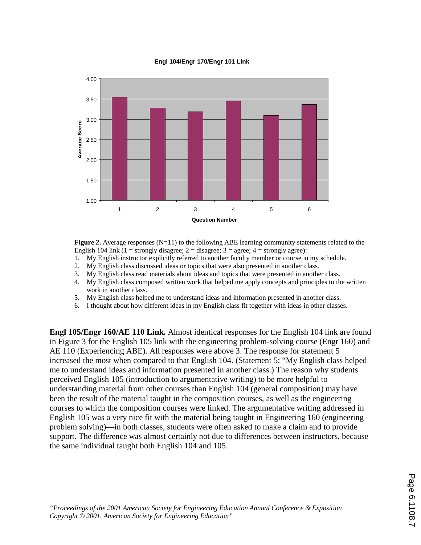#### **Engl 104/Engr 170/Engr 101 Link**



**Figure 2.** Average responses (N=11) to the following ABE learning community statements related to the English 104 link (1 = strongly disagree; 2 = disagree; 3 = agree; 4 = strongly agree):

- 1. My English instructor explicitly referred to another faculty member or course in my schedule.
- 2. My English class discussed ideas or topics that were also presented in another class.
- 3. My English class read materials about ideas and topics that were presented in another class.
- 4. My English class composed written work that helped me apply concepts and principles to the written work in another class.
- 5. My English class helped me to understand ideas and information presented in another class.
- 6. I thought about how different ideas in my English class fit together with ideas in other classes.

**Engl 105/Engr 160/AE 110 Link.** Almost identical responses for the English 104 link are found in Figure 3 for the English 105 link with the engineering problem-solving course (Engr 160) and AE 110 (Experiencing ABE). All responses were above 3. The response for statement 5 increased the most when compared to that English 104. (Statement 5: "My English class helped me to understand ideas and information presented in another class.) The reason why students perceived English 105 (introduction to argumentative writing) to be more helpful to understanding material from other courses than English 104 (general composition) may have been the result of the material taught in the composition courses, as well as the engineering courses to which the composition courses were linked. The argumentative writing addressed in English 105 was a very nice fit with the material being taught in Engineering 160 (engineering problem solving)—in both classes, students were often asked to make a claim and to provide support. The difference was almost certainly not due to differences between instructors, because the same individual taught both English 104 and 105.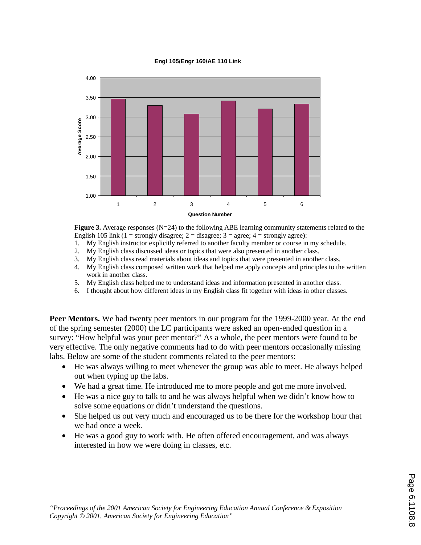#### **Engl 105/Engr 160/AE 110 Link**



**Figure 3.** Average responses (N=24) to the following ABE learning community statements related to the English 105 link (1 = strongly disagree; 2 = disagree; 3 = agree; 4 = strongly agree):

- 1. My English instructor explicitly referred to another faculty member or course in my schedule.
- 2. My English class discussed ideas or topics that were also presented in another class.
- 3. My English class read materials about ideas and topics that were presented in another class.
- 4. My English class composed written work that helped me apply concepts and principles to the written work in another class.
- 5. My English class helped me to understand ideas and information presented in another class.
- 6. I thought about how different ideas in my English class fit together with ideas in other classes.

**Peer Mentors.** We had twenty peer mentors in our program for the 1999-2000 year. At the end of the spring semester (2000) the LC participants were asked an open-ended question in a survey: "How helpful was your peer mentor?" As a whole, the peer mentors were found to be very effective. The only negative comments had to do with peer mentors occasionally missing labs. Below are some of the student comments related to the peer mentors:

- He was always willing to meet whenever the group was able to meet. He always helped out when typing up the labs.
- We had a great time. He introduced me to more people and got me more involved.
- He was a nice guy to talk to and he was always helpful when we didn't know how to solve some equations or didn't understand the questions.
- She helped us out very much and encouraged us to be there for the workshop hour that we had once a week.
- He was a good guy to work with. He often offered encouragement, and was always interested in how we were doing in classes, etc.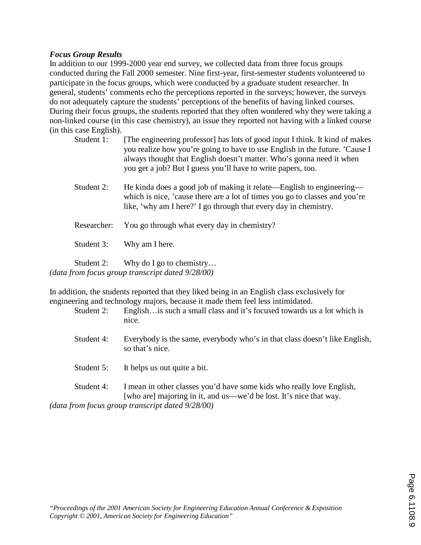### *Focus Group Results*

In addition to our 1999-2000 year end survey, we collected data from three focus groups conducted during the Fall 2000 semester. Nine first-year, first-semester students volunteered to participate in the focus groups, which were conducted by a graduate student researcher. In general, students' comments echo the perceptions reported in the surveys; however, the surveys do not adequately capture the students' perceptions of the benefits of having linked courses. During their focus groups, the students reported that they often wondered why they were taking a non-linked course (in this case chemistry), an issue they reported not having with a linked course (in this case English).

- Student 1: [The engineering professor] has lots of good input I think. It kind of makes you realize how you're going to have to use English in the future. 'Cause I always thought that English doesn't matter. Who's gonna need it when you get a job? But I guess you'll have to write papers, too.
- Student 2: He kinda does a good job of making it relate—English to engineering which is nice, 'cause there are a lot of times you go to classes and you're like, 'why am I here?' I go through that every day in chemistry.
- Researcher: You go through what every day in chemistry?

Student 3: Why am I here.

Student 2: Why do I go to chemistry... *(data from focus group transcript dated 9/28/00)* 

In addition, the students reported that they liked being in an English class exclusively for engineering and technology majors, because it made them feel less intimidated.

- Student 2: English…is such a small class and it's focused towards us a lot which is nice.
- Student 4: Everybody is the same, everybody who's in that class doesn't like English, so that's nice.
- Student 5: It helps us out quite a bit.

Student 4: I mean in other classes you'd have some kids who really love English, [who are] majoring in it, and us—we'd be lost. It's nice that way.

*(data from focus group transcript dated 9/28/00)*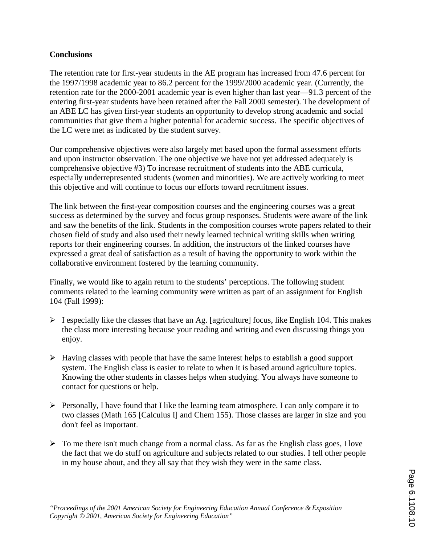## **Conclusions**

The retention rate for first-year students in the AE program has increased from 47.6 percent for the 1997/1998 academic year to 86.2 percent for the 1999/2000 academic year. (Currently, the retention rate for the 2000-2001 academic year is even higher than last year—91.3 percent of the entering first-year students have been retained after the Fall 2000 semester). The development of an ABE LC has given first-year students an opportunity to develop strong academic and social communities that give them a higher potential for academic success. The specific objectives of the LC were met as indicated by the student survey.

Our comprehensive objectives were also largely met based upon the formal assessment efforts and upon instructor observation. The one objective we have not yet addressed adequately is comprehensive objective #3) To increase recruitment of students into the ABE curricula, especially underrepresented students (women and minorities). We are actively working to meet this objective and will continue to focus our efforts toward recruitment issues.

The link between the first-year composition courses and the engineering courses was a great success as determined by the survey and focus group responses. Students were aware of the link and saw the benefits of the link. Students in the composition courses wrote papers related to their chosen field of study and also used their newly learned technical writing skills when writing reports for their engineering courses. In addition, the instructors of the linked courses have expressed a great deal of satisfaction as a result of having the opportunity to work within the collaborative environment fostered by the learning community.

Finally, we would like to again return to the students' perceptions. The following student comments related to the learning community were written as part of an assignment for English 104 (Fall 1999):

- $\triangleright$  I especially like the classes that have an Ag. [agriculture] focus, like English 104. This makes the class more interesting because your reading and writing and even discussing things you enjoy.
- $\triangleright$  Having classes with people that have the same interest helps to establish a good support system. The English class is easier to relate to when it is based around agriculture topics. Knowing the other students in classes helps when studying. You always have someone to contact for questions or help.
- $\triangleright$  Personally, I have found that I like the learning team atmosphere. I can only compare it to two classes (Math 165 [Calculus I] and Chem 155). Those classes are larger in size and you don't feel as important.
- $\triangleright$  To me there isn't much change from a normal class. As far as the English class goes, I love the fact that we do stuff on agriculture and subjects related to our studies. I tell other people in my house about, and they all say that they wish they were in the same class.